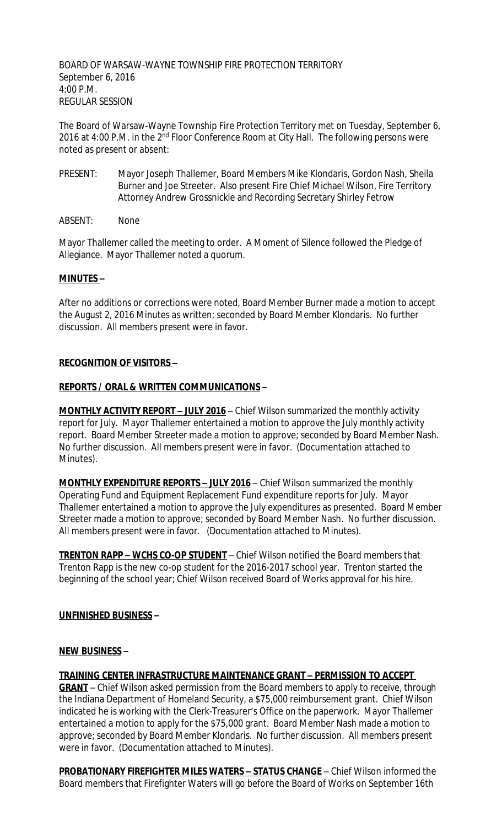BOARD OF WARSAW-WAYNE TOWNSHIP FIRE PROTECTION TERRITORY September 6, 2016 4:00 P.M. REGULAR SESSION

The Board of Warsaw-Wayne Township Fire Protection Territory met on Tuesday, September 6, 2016 at 4:00 P.M. in the 2<sup>nd</sup> Floor Conference Room at City Hall. The following persons were noted as present or absent:

- PRESENT: Mayor Joseph Thallemer, Board Members Mike Klondaris, Gordon Nash, Sheila Burner and Joe Streeter. Also present Fire Chief Michael Wilson, Fire Territory Attorney Andrew Grossnickle and Recording Secretary Shirley Fetrow
- ABSENT: None

Mayor Thallemer called the meeting to order. A Moment of Silence followed the Pledge of Allegiance. Mayor Thallemer noted a quorum.

## **MINUTES –**

After no additions or corrections were noted, Board Member Burner made a motion to accept the August 2, 2016 Minutes as written; seconded by Board Member Klondaris. No further discussion. All members present were in favor.

#### **RECOGNITION OF VISITORS –**

#### **REPORTS / ORAL & WRITTEN COMMUNICATIONS –**

**MONTHLY ACTIVITY REPORT - JULY 2016** - Chief Wilson summarized the monthly activity report for July. Mayor Thallemer entertained a motion to approve the July monthly activity report. Board Member Streeter made a motion to approve; seconded by Board Member Nash. No further discussion. All members present were in favor. (Documentation attached to Minutes).

**MONTHLY EXPENDITURE REPORTS – JULY 2016** – Chief Wilson summarized the monthly Operating Fund and Equipment Replacement Fund expenditure reports for July. Mayor Thallemer entertained a motion to approve the July expenditures as presented. Board Member Streeter made a motion to approve; seconded by Board Member Nash. No further discussion. All members present were in favor. (Documentation attached to Minutes).

**TRENTON RAPP – WCHS CO-OP STUDENT** – Chief Wilson notified the Board members that Trenton Rapp is the new co-op student for the 2016-2017 school year. Trenton started the beginning of the school year; Chief Wilson received Board of Works approval for his hire.

## **UNFINISHED BUSINESS –**

#### **NEW BUSINESS –**

**TRAINING CENTER INFRASTRUCTURE MAINTENANCE GRANT – PERMISSION TO ACCEPT GRANT** – Chief Wilson asked permission from the Board members to apply to receive, through the Indiana Department of Homeland Security, a \$75,000 reimbursement grant. Chief Wilson indicated he is working with the Clerk-Treasurer's Office on the paperwork. Mayor Thallemer entertained a motion to apply for the \$75,000 grant. Board Member Nash made a motion to approve; seconded by Board Member Klondaris. No further discussion. All members present were in favor. (Documentation attached to Minutes).

**PROBATIONARY FIREFIGHTER MILES WATERS – STATUS CHANGE** – Chief Wilson informed the Board members that Firefighter Waters will go before the Board of Works on September 16th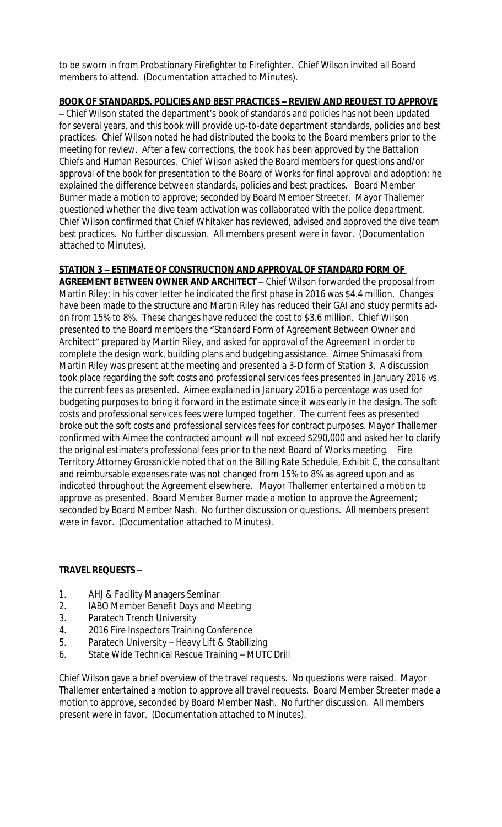to be sworn in from Probationary Firefighter to Firefighter. Chief Wilson invited all Board members to attend. (Documentation attached to Minutes).

## **BOOK OF STANDARDS, POLICIES AND BEST PRACTICES – REVIEW AND REQUEST TO APPROVE**

– Chief Wilson stated the department's book of standards and policies has not been updated for several years, and this book will provide up-to-date department standards, policies and best practices. Chief Wilson noted he had distributed the books to the Board members prior to the meeting for review. After a few corrections, the book has been approved by the Battalion Chiefs and Human Resources. Chief Wilson asked the Board members for questions and/or approval of the book for presentation to the Board of Works for final approval and adoption; he explained the difference between standards, policies and best practices. Board Member Burner made a motion to approve; seconded by Board Member Streeter. Mayor Thallemer questioned whether the dive team activation was collaborated with the police department. Chief Wilson confirmed that Chief Whitaker has reviewed, advised and approved the dive team best practices. No further discussion. All members present were in favor. (Documentation attached to Minutes).

# **STATION 3 – ESTIMATE OF CONSTRUCTION AND APPROVAL OF STANDARD FORM OF**

**AGREEMENT BETWEEN OWNER AND ARCHITECT** – Chief Wilson forwarded the proposal from Martin Riley; in his cover letter he indicated the first phase in 2016 was \$4.4 million. Changes have been made to the structure and Martin Riley has reduced their GAI and study permits adon from 15% to 8%. These changes have reduced the cost to \$3.6 million. Chief Wilson presented to the Board members the "Standard Form of Agreement Between Owner and Architect" prepared by Martin Riley, and asked for approval of the Agreement in order to complete the design work, building plans and budgeting assistance. Aimee Shimasaki from Martin Riley was present at the meeting and presented a 3-D form of Station 3. A discussion took place regarding the soft costs and professional services fees presented in January 2016 vs. the current fees as presented. Aimee explained in January 2016 a percentage was used for budgeting purposes to bring it forward in the estimate since it was early in the design. The soft costs and professional services fees were lumped together. The current fees as presented broke out the soft costs and professional services fees for contract purposes. Mayor Thallemer confirmed with Aimee the contracted amount will not exceed \$290,000 and asked her to clarify the original estimate's professional fees prior to the next Board of Works meeting. Fire Territory Attorney Grossnickle noted that on the Billing Rate Schedule, Exhibit C, the consultant and reimbursable expenses rate was not changed from 15% to 8% as agreed upon and as indicated throughout the Agreement elsewhere. Mayor Thallemer entertained a motion to approve as presented. Board Member Burner made a motion to approve the Agreement; seconded by Board Member Nash. No further discussion or questions. All members present were in favor. (Documentation attached to Minutes).

## **TRAVEL REQUESTS –**

- 1. AHJ & Facility Managers Seminar
- 2. IABO Member Benefit Days and Meeting
- 3. Paratech Trench University
- 4. 2016 Fire Inspectors Training Conference
- 5. Paratech University Heavy Lift & Stabilizing
- 6. State Wide Technical Rescue Training MUTC Drill

Chief Wilson gave a brief overview of the travel requests. No questions were raised. Mayor Thallemer entertained a motion to approve all travel requests. Board Member Streeter made a motion to approve, seconded by Board Member Nash. No further discussion. All members present were in favor. (Documentation attached to Minutes).